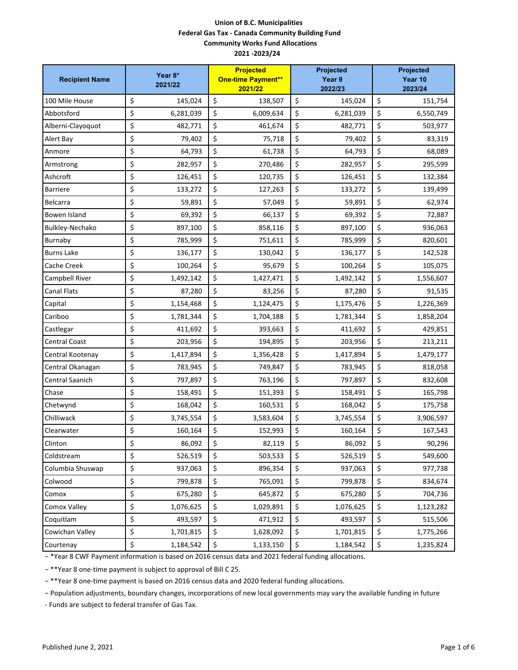| <b>Recipient Name</b> | Year 8*<br>2021/22 | <b>Projected</b><br><b>One-time Payment**</b><br>2021/22 | Projected<br>Year 9<br>2022/23 | Projected<br>Year 10<br>2023/24 |
|-----------------------|--------------------|----------------------------------------------------------|--------------------------------|---------------------------------|
| 100 Mile House        | \$<br>145,024      | \$<br>138,507                                            | \$<br>145,024                  | \$<br>151,754                   |
| Abbotsford            | \$<br>6,281,039    | \$<br>6,009,634                                          | \$<br>6,281,039                | \$<br>6,550,749                 |
| Alberni-Clayoquot     | \$<br>482,771      | \$<br>461,674                                            | \$<br>482,771                  | \$<br>503,977                   |
| Alert Bay             | \$<br>79,402       | \$<br>75,718                                             | \$<br>79,402                   | \$<br>83,319                    |
| Anmore                | \$<br>64,793       | \$<br>61,738                                             | \$<br>64,793                   | \$<br>68,089                    |
| Armstrong             | \$<br>282,957      | \$<br>270,486                                            | \$<br>282,957                  | \$<br>295,599                   |
| Ashcroft              | \$<br>126,451      | \$<br>120,735                                            | \$<br>126,451                  | \$<br>132,384                   |
| <b>Barriere</b>       | \$<br>133,272      | \$<br>127,263                                            | \$<br>133,272                  | \$<br>139,499                   |
| Belcarra              | \$<br>59,891       | \$<br>57,049                                             | \$<br>59,891                   | \$<br>62,974                    |
| Bowen Island          | \$<br>69,392       | \$<br>66,137                                             | \$<br>69,392                   | \$<br>72,887                    |
| Bulkley-Nechako       | \$<br>897,100      | \$<br>858,116                                            | \$<br>897,100                  | \$<br>936,063                   |
| Burnaby               | \$<br>785,999      | \$<br>751,611                                            | \$<br>785,999                  | \$<br>820,601                   |
| <b>Burns Lake</b>     | \$<br>136,177      | \$<br>130,042                                            | \$<br>136,177                  | \$<br>142,528                   |
| <b>Cache Creek</b>    | \$<br>100,264      | \$<br>95,679                                             | \$<br>100,264                  | \$<br>105,075                   |
| Campbell River        | \$<br>1,492,142    | \$<br>1,427,471                                          | \$<br>1,492,142                | \$<br>1,556,607                 |
| <b>Canal Flats</b>    | \$<br>87,280       | \$<br>83,256                                             | \$<br>87,280                   | \$<br>91,535                    |
| Capital               | \$<br>1,154,468    | \$<br>1,124,475                                          | \$<br>1,175,476                | \$<br>1,226,369                 |
| Cariboo               | \$<br>1,781,344    | \$<br>1,704,188                                          | \$<br>1,781,344                | \$<br>1,858,204                 |
| Castlegar             | \$<br>411,692      | \$<br>393,663                                            | \$<br>411,692                  | \$<br>429,851                   |
| <b>Central Coast</b>  | \$<br>203,956      | \$<br>194,895                                            | \$<br>203,956                  | \$<br>213,211                   |
| Central Kootenay      | \$<br>1,417,894    | \$<br>1,356,428                                          | \$<br>1,417,894                | \$<br>1,479,177                 |
| Central Okanagan      | \$<br>783,945      | \$<br>749,847                                            | \$<br>783,945                  | \$<br>818,058                   |
| Central Saanich       | \$<br>797,897      | \$<br>763,196                                            | \$<br>797,897                  | \$<br>832,608                   |
| Chase                 | \$<br>158,491      | \$<br>151,393                                            | \$<br>158,491                  | \$<br>165,798                   |
| Chetwynd              | \$<br>168,042      | \$<br>160,531                                            | \$<br>168,042                  | \$<br>175,758                   |
| Chilliwack            | \$<br>3,745,554    | \$<br>3,583,604                                          | \$<br>3,745,554                | \$<br>3,906,597                 |
| Clearwater            | \$<br>160,164      | \$<br>152,993                                            | \$<br>160,164                  | \$<br>167,543                   |
| Clinton               | \$<br>86,092       | \$<br>82,119                                             | \$<br>86,092                   | \$<br>90,296                    |
| Coldstream            | \$<br>526,519      | \$<br>503,533                                            | \$<br>526,519                  | \$<br>549,600                   |
| Columbia Shuswap      | \$<br>937,063      | \$<br>896,354                                            | \$<br>937,063                  | \$<br>977,738                   |
| Colwood               | \$<br>799,878      | \$<br>765,091                                            | \$<br>799,878                  | \$<br>834,674                   |
| Comox                 | \$<br>675,280      | \$<br>645,872                                            | \$<br>675,280                  | \$<br>704,736                   |
| Comox Valley          | \$<br>1,076,625    | \$<br>1,029,891                                          | \$<br>1,076,625                | \$<br>1,123,282                 |
| Coquitlam             | \$<br>493,597      | \$<br>471,912                                            | \$<br>493,597                  | \$<br>515,506                   |
| Cowichan Valley       | \$<br>1,701,815    | \$<br>1,628,092                                          | \$<br>1,701,815                | \$<br>1,775,266                 |
| Courtenay             | \$<br>1,184,542    | \$<br>1,133,150                                          | \$<br>1,184,542                | \$<br>1,235,824                 |

− \*Year 8 CWF Payment information is based on 2016 census data and 2021 federal funding allocations.

− \*\*Year 8 one-time payment is subject to approval of Bill C 25.

− \*\*Year 8 one-time payment is based on 2016 census data and 2020 federal funding allocations.

− Population adjustments, boundary changes, incorporations of new local governments may vary the available funding in future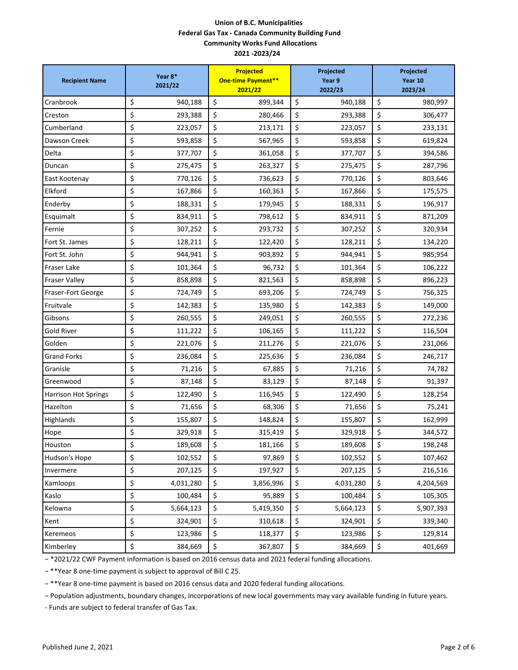| <b>Recipient Name</b>       | Year 8*<br>2021/22 | <b>Projected</b><br><b>One-time Payment**</b><br>2021/22 | Projected<br>Year 9<br>2022/23 | Projected<br>Year 10<br>2023/24 |
|-----------------------------|--------------------|----------------------------------------------------------|--------------------------------|---------------------------------|
| Cranbrook                   | \$<br>940,188      | \$<br>899,344                                            | \$<br>940,188                  | \$<br>980,997                   |
| Creston                     | \$<br>293,388      | \$<br>280,466                                            | \$<br>293,388                  | \$<br>306,477                   |
| Cumberland                  | \$<br>223,057      | \$<br>213,171                                            | \$<br>223,057                  | \$<br>233,131                   |
| Dawson Creek                | \$<br>593,858      | \$<br>567,965                                            | \$<br>593,858                  | \$<br>619,824                   |
| Delta                       | \$<br>377,707      | \$<br>361,058                                            | \$<br>377,707                  | \$<br>394,586                   |
| Duncan                      | \$<br>275,475      | \$<br>263,327                                            | \$<br>275,475                  | \$<br>287,796                   |
| East Kootenay               | \$<br>770,126      | \$<br>736,623                                            | \$<br>770,126                  | \$<br>803,646                   |
| Elkford                     | \$<br>167,866      | \$<br>160,363                                            | \$<br>167,866                  | \$<br>175,575                   |
| Enderby                     | \$<br>188,331      | \$<br>179,945                                            | \$<br>188,331                  | \$<br>196,917                   |
| Esquimalt                   | \$<br>834,911      | \$<br>798,612                                            | \$<br>834,911                  | \$<br>871,209                   |
| Fernie                      | \$<br>307,252      | \$<br>293,732                                            | \$<br>307,252                  | \$<br>320,934                   |
| Fort St. James              | \$<br>128,211      | \$<br>122,420                                            | \$<br>128,211                  | \$<br>134,220                   |
| Fort St. John               | \$<br>944,941      | \$<br>903,892                                            | \$<br>944,941                  | \$<br>985,954                   |
| <b>Fraser Lake</b>          | \$<br>101,364      | \$<br>96,732                                             | \$<br>101,364                  | \$<br>106,222                   |
| Fraser Valley               | \$<br>858,898      | \$<br>821,563                                            | \$<br>858,898                  | \$<br>896,223                   |
| Fraser-Fort George          | \$<br>724,749      | \$<br>693,206                                            | \$<br>724,749                  | \$<br>756,325                   |
| Fruitvale                   | \$<br>142,383      | \$<br>135,980                                            | \$<br>142,383                  | \$<br>149,000                   |
| Gibsons                     | \$<br>260,555      | \$<br>249,051                                            | \$<br>260,555                  | \$<br>272,236                   |
| Gold River                  | \$<br>111,222      | \$<br>106,165                                            | \$<br>111,222                  | \$<br>116,504                   |
| Golden                      | \$<br>221,076      | \$<br>211,276                                            | \$<br>221,076                  | \$<br>231,066                   |
| <b>Grand Forks</b>          | \$<br>236,084      | \$<br>225,636                                            | \$<br>236,084                  | \$<br>246,717                   |
| Granisle                    | \$<br>71,216       | \$<br>67,885                                             | \$<br>71,216                   | \$<br>74,782                    |
| Greenwood                   | \$<br>87,148       | \$<br>83,129                                             | \$<br>87,148                   | \$<br>91,397                    |
| <b>Harrison Hot Springs</b> | \$<br>122,490      | \$<br>116,945                                            | \$<br>122,490                  | \$<br>128,254                   |
| Hazelton                    | \$<br>71,656       | \$<br>68,306                                             | \$<br>71,656                   | \$<br>75,241                    |
| Highlands                   | \$<br>155,807      | \$<br>148,824                                            | \$<br>155,807                  | \$<br>162,999                   |
| Hope                        | \$<br>329,918      | \$<br>315,419                                            | \$<br>329,918                  | \$<br>344,572                   |
| Houston                     | \$<br>189,608      | \$<br>181,166                                            | \$<br>189,608                  | \$<br>198,248                   |
| Hudson's Hope               | \$<br>102,552      | \$<br>97,869                                             | \$<br>102,552                  | \$<br>107,462                   |
| Invermere                   | \$<br>207,125      | \$<br>197,927                                            | \$<br>207,125                  | \$<br>216,516                   |
| Kamloops                    | \$<br>4,031,280    | \$<br>3,856,996                                          | \$<br>4,031,280                | \$<br>4,204,569                 |
| Kaslo                       | \$<br>100,484      | \$<br>95,889                                             | \$<br>100,484                  | \$<br>105,305                   |
| Kelowna                     | \$<br>5,664,123    | \$<br>5,419,350                                          | \$<br>5,664,123                | \$<br>5,907,393                 |
| Kent                        | \$<br>324,901      | \$<br>310,618                                            | \$<br>324,901                  | \$<br>339,340                   |
| Keremeos                    | \$<br>123,986      | \$<br>118,377                                            | \$<br>123,986                  | \$<br>129,814                   |
| Kimberley                   | \$<br>384,669      | \$<br>367,807                                            | \$<br>384,669                  | \$<br>401,669                   |

− \*2021/22 CWF Payment information is based on 2016 census data and 2021 federal funding allocations.

− \*\*Year 8 one-time payment is subject to approval of Bill C 25.

− \*\*Year 8 one-time payment is based on 2016 census data and 2020 federal funding allocations.

− Population adjustments, boundary changes, incorporations of new local governments may vary available funding in future years.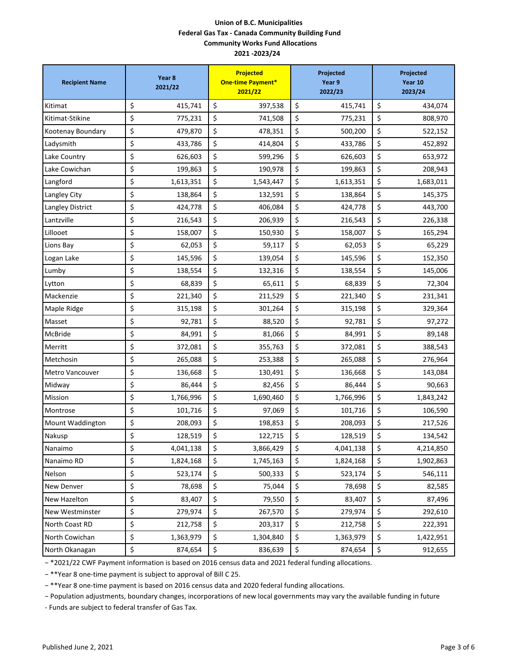| <b>Recipient Name</b>  | Year 8<br>2021/22 | <b>Projected</b><br><b>One-time Payment*</b><br>2021/22 | Projected<br>Year 9<br>2022/23 |           | Projected<br>Year 10<br>2023/24 |           |
|------------------------|-------------------|---------------------------------------------------------|--------------------------------|-----------|---------------------------------|-----------|
| Kitimat                | \$<br>415,741     | \$<br>397,538                                           | \$                             | 415,741   | \$                              | 434,074   |
| Kitimat-Stikine        | \$<br>775,231     | \$<br>741,508                                           | \$                             | 775,231   | \$                              | 808,970   |
| Kootenay Boundary      | \$<br>479,870     | \$<br>478,351                                           | \$                             | 500,200   | \$                              | 522,152   |
| Ladysmith              | \$<br>433,786     | \$<br>414,804                                           | \$                             | 433,786   | \$                              | 452,892   |
| Lake Country           | \$<br>626,603     | \$<br>599,296                                           | \$                             | 626,603   | \$                              | 653,972   |
| Lake Cowichan          | \$<br>199,863     | \$<br>190,978                                           | \$                             | 199,863   | \$                              | 208,943   |
| Langford               | \$<br>1,613,351   | \$<br>1,543,447                                         | \$                             | 1,613,351 | \$                              | 1,683,011 |
| Langley City           | \$<br>138,864     | \$<br>132,591                                           | \$                             | 138,864   | \$                              | 145,375   |
| Langley District       | \$<br>424,778     | \$<br>406,084                                           | \$                             | 424,778   | \$                              | 443,700   |
| Lantzville             | \$<br>216,543     | \$<br>206,939                                           | \$                             | 216,543   | \$                              | 226,338   |
| Lillooet               | \$<br>158,007     | \$<br>150,930                                           | \$                             | 158,007   | \$                              | 165,294   |
| Lions Bay              | \$<br>62,053      | \$<br>59,117                                            | \$                             | 62,053    | \$                              | 65,229    |
| Logan Lake             | \$<br>145,596     | \$<br>139,054                                           | \$                             | 145,596   | \$                              | 152,350   |
| Lumby                  | \$<br>138,554     | \$<br>132,316                                           | \$                             | 138,554   | \$                              | 145,006   |
| Lytton                 | \$<br>68,839      | \$<br>65,611                                            | \$                             | 68,839    | \$                              | 72,304    |
| Mackenzie              | \$<br>221,340     | \$<br>211,529                                           | \$                             | 221,340   | \$                              | 231,341   |
| Maple Ridge            | \$<br>315,198     | \$<br>301,264                                           | \$                             | 315,198   | \$                              | 329,364   |
| Masset                 | \$<br>92,781      | \$<br>88,520                                            | \$                             | 92,781    | \$                              | 97,272    |
| McBride                | \$<br>84,991      | \$<br>81,066                                            | \$                             | 84,991    | \$                              | 89,148    |
| Merritt                | \$<br>372,081     | \$<br>355,763                                           | \$                             | 372,081   | \$                              | 388,543   |
| Metchosin              | \$<br>265,088     | \$<br>253,388                                           | \$                             | 265,088   | \$                              | 276,964   |
| <b>Metro Vancouver</b> | \$<br>136,668     | \$<br>130,491                                           | \$                             | 136,668   | \$                              | 143,084   |
| Midway                 | \$<br>86,444      | \$<br>82,456                                            | \$                             | 86,444    | \$                              | 90,663    |
| Mission                | \$<br>1,766,996   | \$<br>1,690,460                                         | \$                             | 1,766,996 | \$                              | 1,843,242 |
| Montrose               | \$<br>101,716     | \$<br>97,069                                            | \$                             | 101,716   | \$                              | 106,590   |
| Mount Waddington       | \$<br>208,093     | \$<br>198,853                                           | \$                             | 208,093   | \$                              | 217,526   |
| Nakusp                 | \$<br>128,519     | \$<br>122,715                                           | \$                             | 128,519   | \$                              | 134,542   |
| Nanaimo                | \$<br>4,041,138   | \$<br>3,866,429                                         | \$                             | 4,041,138 | \$                              | 4,214,850 |
| Nanaimo RD             | \$<br>1,824,168   | \$<br>1,745,163                                         | \$                             | 1,824,168 | \$                              | 1,902,863 |
| Nelson                 | \$<br>523,174     | \$<br>500,333                                           | \$                             | 523,174   | \$                              | 546,111   |
| New Denver             | \$<br>78,698      | \$<br>75,044                                            | \$                             | 78,698    | \$                              | 82,585    |
| New Hazelton           | \$<br>83,407      | \$<br>79,550                                            | \$                             | 83,407    | \$                              | 87,496    |
| New Westminster        | \$<br>279,974     | \$<br>267,570                                           | \$                             | 279,974   | \$                              | 292,610   |
| North Coast RD         | \$<br>212,758     | \$<br>203,317                                           | \$                             | 212,758   | \$                              | 222,391   |
| North Cowichan         | \$<br>1,363,979   | \$<br>1,304,840                                         | \$                             | 1,363,979 | \$                              | 1,422,951 |
| North Okanagan         | \$<br>874,654     | \$<br>836,639                                           | \$                             | 874,654   | \$                              | 912,655   |

− \*2021/22 CWF Payment information is based on 2016 census data and 2021 federal funding allocations.

− \*\*Year 8 one-time payment is subject to approval of Bill C 25.

− \*\*Year 8 one-time payment is based on 2016 census data and 2020 federal funding allocations.

− Population adjustments, boundary changes, incorporations of new local governments may vary the available funding in future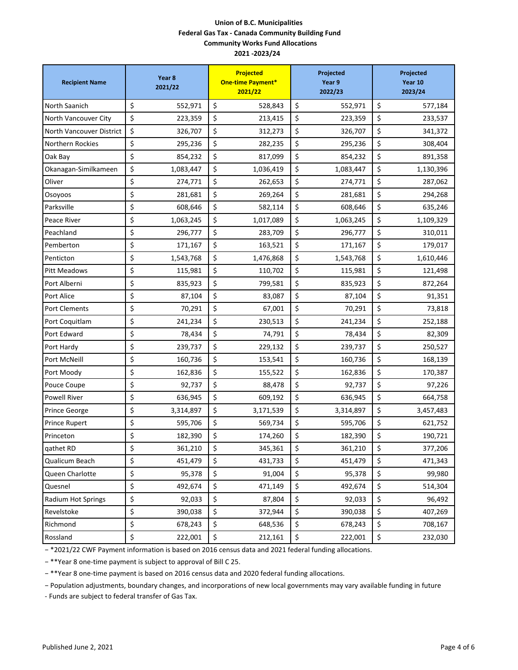| <b>Recipient Name</b>    | Year 8<br>2021/22 | <b>Projected</b><br><b>One-time Payment*</b><br>2021/22 | Projected<br>Year 9<br>2022/23 |           | Projected<br>Year 10<br>2023/24 |  |
|--------------------------|-------------------|---------------------------------------------------------|--------------------------------|-----------|---------------------------------|--|
| North Saanich            | \$<br>552,971     | \$<br>528,843                                           | \$                             | 552,971   | \$<br>577,184                   |  |
| North Vancouver City     | \$<br>223,359     | \$<br>213,415                                           | \$                             | 223,359   | \$<br>233,537                   |  |
| North Vancouver District | \$<br>326,707     | \$<br>312,273                                           | \$                             | 326,707   | \$<br>341,372                   |  |
| <b>Northern Rockies</b>  | \$<br>295,236     | \$<br>282,235                                           | \$                             | 295,236   | \$<br>308,404                   |  |
| Oak Bay                  | \$<br>854,232     | \$<br>817,099                                           | \$                             | 854,232   | \$<br>891,358                   |  |
| Okanagan-Similkameen     | \$<br>1,083,447   | \$<br>1,036,419                                         | \$                             | 1,083,447 | \$<br>1,130,396                 |  |
| Oliver                   | \$<br>274,771     | \$<br>262,653                                           | \$                             | 274,771   | \$<br>287,062                   |  |
| Osoyoos                  | \$<br>281,681     | \$<br>269,264                                           | \$                             | 281,681   | \$<br>294,268                   |  |
| Parksville               | \$<br>608,646     | \$<br>582,114                                           | \$                             | 608,646   | \$<br>635,246                   |  |
| Peace River              | \$<br>1,063,245   | \$<br>1,017,089                                         | \$                             | 1,063,245 | \$<br>1,109,329                 |  |
| Peachland                | \$<br>296,777     | \$<br>283,709                                           | \$                             | 296,777   | \$<br>310,011                   |  |
| Pemberton                | \$<br>171,167     | \$<br>163,521                                           | \$                             | 171,167   | \$<br>179,017                   |  |
| Penticton                | \$<br>1,543,768   | \$<br>1,476,868                                         | \$                             | 1,543,768 | \$<br>1,610,446                 |  |
| <b>Pitt Meadows</b>      | \$<br>115,981     | \$<br>110,702                                           | \$                             | 115,981   | \$<br>121,498                   |  |
| Port Alberni             | \$<br>835,923     | \$<br>799,581                                           | \$                             | 835,923   | \$<br>872,264                   |  |
| Port Alice               | \$<br>87,104      | \$<br>83,087                                            | \$                             | 87,104    | \$<br>91,351                    |  |
| <b>Port Clements</b>     | \$<br>70,291      | \$<br>67,001                                            | \$                             | 70,291    | \$<br>73,818                    |  |
| Port Coquitlam           | \$<br>241,234     | \$<br>230,513                                           | \$                             | 241,234   | \$<br>252,188                   |  |
| Port Edward              | \$<br>78,434      | \$<br>74,791                                            | \$                             | 78,434    | \$<br>82,309                    |  |
| Port Hardy               | \$<br>239,737     | \$<br>229,132                                           | \$                             | 239,737   | \$<br>250,527                   |  |
| Port McNeill             | \$<br>160,736     | \$<br>153,541                                           | \$                             | 160,736   | \$<br>168,139                   |  |
| Port Moody               | \$<br>162,836     | \$<br>155,522                                           | \$                             | 162,836   | \$<br>170,387                   |  |
| Pouce Coupe              | \$<br>92,737      | \$<br>88,478                                            | \$                             | 92,737    | \$<br>97,226                    |  |
| <b>Powell River</b>      | \$<br>636,945     | \$<br>609,192                                           | \$                             | 636,945   | \$<br>664,758                   |  |
| <b>Prince George</b>     | \$<br>3,314,897   | \$<br>3,171,539                                         | \$                             | 3,314,897 | \$<br>3,457,483                 |  |
| <b>Prince Rupert</b>     | \$<br>595,706     | \$<br>569,734                                           | \$                             | 595,706   | \$<br>621,752                   |  |
| Princeton                | \$<br>182,390     | \$<br>174,260                                           | \$                             | 182,390   | \$<br>190,721                   |  |
| qathet RD                | \$<br>361,210     | \$<br>345,361                                           | \$                             | 361,210   | \$<br>377,206                   |  |
| Qualicum Beach           | \$<br>451,479     | \$<br>431,733                                           | \$                             | 451,479   | \$<br>471,343                   |  |
| Queen Charlotte          | \$<br>95,378      | \$<br>91,004                                            | \$                             | 95,378    | \$<br>99,980                    |  |
| Quesnel                  | \$<br>492,674     | \$<br>471,149                                           | \$                             | 492,674   | \$<br>514,304                   |  |
| Radium Hot Springs       | \$<br>92,033      | \$<br>87,804                                            | \$                             | 92,033    | \$<br>96,492                    |  |
| Revelstoke               | \$<br>390,038     | \$<br>372,944                                           | \$                             | 390,038   | \$<br>407,269                   |  |
| Richmond                 | \$<br>678,243     | \$<br>648,536                                           | \$                             | 678,243   | \$<br>708,167                   |  |
| Rossland                 | \$<br>222,001     | \$<br>212,161                                           | \$                             | 222,001   | \$<br>232,030                   |  |

− \*2021/22 CWF Payment information is based on 2016 census data and 2021 federal funding allocations.

− \*\*Year 8 one-time payment is subject to approval of Bill C 25.

− \*\*Year 8 one-time payment is based on 2016 census data and 2020 federal funding allocations.

− Population adjustments, boundary changes, and incorporations of new local governments may vary available funding in future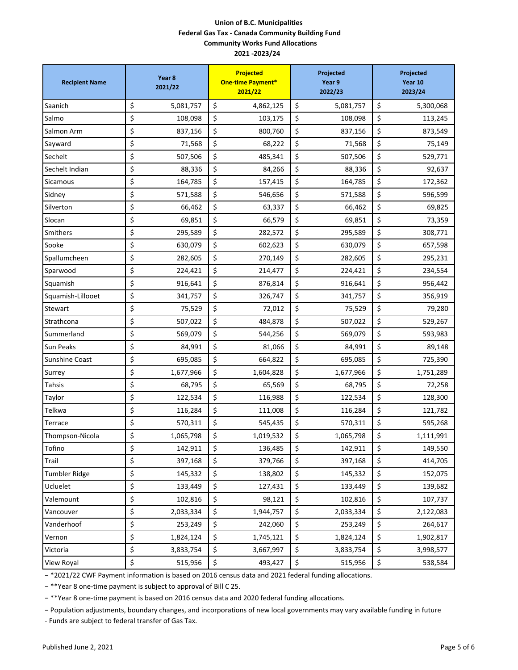| <b>Recipient Name</b> | Year 8<br>2021/22 | <b>Projected</b><br><b>One-time Payment*</b><br>2021/22 | Projected<br>Year 9<br>2022/23 | Projected<br>Year 10<br>2023/24 |  |
|-----------------------|-------------------|---------------------------------------------------------|--------------------------------|---------------------------------|--|
| Saanich               | \$<br>5,081,757   | \$<br>4,862,125                                         | \$<br>5,081,757                | \$<br>5,300,068                 |  |
| Salmo                 | \$<br>108,098     | \$<br>103,175                                           | \$<br>108,098                  | \$<br>113,245                   |  |
| Salmon Arm            | \$<br>837,156     | \$<br>800,760                                           | \$<br>837,156                  | \$<br>873,549                   |  |
| Sayward               | \$<br>71,568      | \$<br>68,222                                            | \$<br>71,568                   | \$<br>75,149                    |  |
| Sechelt               | \$<br>507,506     | \$<br>485,341                                           | \$<br>507,506                  | \$<br>529,771                   |  |
| Sechelt Indian        | \$<br>88,336      | \$<br>84,266                                            | \$<br>88,336                   | \$<br>92,637                    |  |
| <b>Sicamous</b>       | \$<br>164,785     | \$<br>157,415                                           | \$<br>164,785                  | \$<br>172,362                   |  |
| Sidney                | \$<br>571,588     | \$<br>546,656                                           | \$<br>571,588                  | \$<br>596,599                   |  |
| Silverton             | \$<br>66,462      | \$<br>63,337                                            | \$<br>66,462                   | \$<br>69,825                    |  |
| Slocan                | \$<br>69,851      | \$<br>66,579                                            | \$<br>69,851                   | \$<br>73,359                    |  |
| Smithers              | \$<br>295,589     | \$<br>282,572                                           | \$<br>295,589                  | \$<br>308,771                   |  |
| Sooke                 | \$<br>630,079     | \$<br>602,623                                           | \$<br>630,079                  | \$<br>657,598                   |  |
| Spallumcheen          | \$<br>282,605     | \$<br>270,149                                           | \$<br>282,605                  | \$<br>295,231                   |  |
| Sparwood              | \$<br>224,421     | \$<br>214,477                                           | \$<br>224,421                  | \$<br>234,554                   |  |
| Squamish              | \$<br>916,641     | \$<br>876,814                                           | \$<br>916,641                  | \$<br>956,442                   |  |
| Squamish-Lillooet     | \$<br>341,757     | \$<br>326,747                                           | \$<br>341,757                  | \$<br>356,919                   |  |
| Stewart               | \$<br>75,529      | \$<br>72,012                                            | \$<br>75,529                   | \$<br>79,280                    |  |
| Strathcona            | \$<br>507,022     | \$<br>484,878                                           | \$<br>507,022                  | \$<br>529,267                   |  |
| Summerland            | \$<br>569,079     | \$<br>544,256                                           | \$<br>569,079                  | \$<br>593,983                   |  |
| Sun Peaks             | \$<br>84,991      | \$<br>81,066                                            | \$<br>84,991                   | \$<br>89,148                    |  |
| <b>Sunshine Coast</b> | \$<br>695,085     | \$<br>664,822                                           | \$<br>695,085                  | \$<br>725,390                   |  |
| Surrey                | \$<br>1,677,966   | \$<br>1,604,828                                         | \$<br>1,677,966                | \$<br>1,751,289                 |  |
| Tahsis                | \$<br>68,795      | \$<br>65,569                                            | \$<br>68,795                   | \$<br>72,258                    |  |
| Taylor                | \$<br>122,534     | \$<br>116,988                                           | \$<br>122,534                  | \$<br>128,300                   |  |
| Telkwa                | \$<br>116,284     | \$<br>111,008                                           | \$<br>116,284                  | \$<br>121,782                   |  |
| Terrace               | \$<br>570,311     | \$<br>545,435                                           | \$<br>570,311                  | \$<br>595,268                   |  |
| Thompson-Nicola       | \$<br>1,065,798   | \$<br>1,019,532                                         | \$<br>1,065,798                | \$<br>1,111,991                 |  |
| Tofino                | \$<br>142,911     | \$<br>136,485                                           | \$<br>142,911                  | \$<br>149,550                   |  |
| Trail                 | \$<br>397,168     | \$<br>379,766                                           | \$<br>397,168                  | \$<br>414,705                   |  |
| <b>Tumbler Ridge</b>  | \$<br>145,332     | \$<br>138,802                                           | \$<br>145,332                  | \$<br>152,075                   |  |
| Ucluelet              | \$<br>133,449     | \$<br>127,431                                           | \$<br>133,449                  | \$<br>139,682                   |  |
| Valemount             | \$<br>102,816     | \$<br>98,121                                            | \$<br>102,816                  | \$<br>107,737                   |  |
| Vancouver             | \$<br>2,033,334   | \$<br>1,944,757                                         | \$<br>2,033,334                | \$<br>2,122,083                 |  |
| Vanderhoof            | \$<br>253,249     | \$<br>242,060                                           | \$<br>253,249                  | \$<br>264,617                   |  |
| Vernon                | \$<br>1,824,124   | \$<br>1,745,121                                         | \$<br>1,824,124                | \$<br>1,902,817                 |  |
| Victoria              | \$<br>3,833,754   | \$<br>3,667,997                                         | \$<br>3,833,754                | \$<br>3,998,577                 |  |
| View Royal            | \$<br>515,956     | \$<br>493,427                                           | \$<br>515,956                  | \$<br>538,584                   |  |

− \*2021/22 CWF Payment information is based on 2016 census data and 2021 federal funding allocations.

− \*\*Year 8 one-time payment is subject to approval of Bill C 25.

− \*\*Year 8 one-time payment is based on 2016 census data and 2020 federal funding allocations.

− Population adjustments, boundary changes, and incorporations of new local governments may vary available funding in future - Funds are subject to federal transfer of Gas Tax.